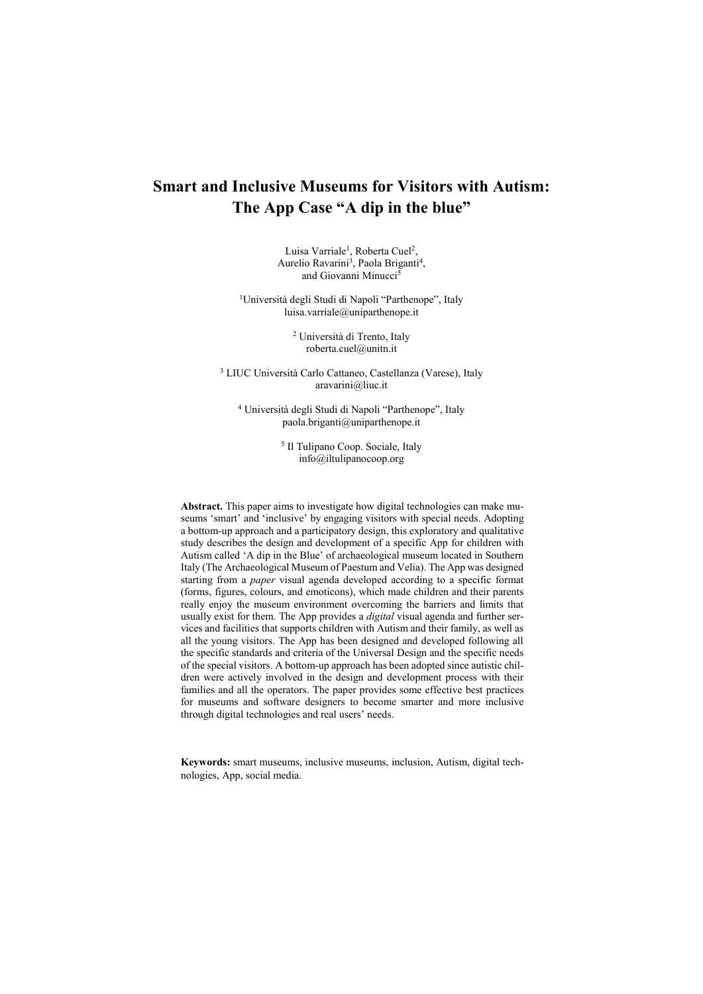# **Smart and Inclusive Museums for Visitors with Autism: The App Case "A dip in the blue"**

Luisa Varriale<sup>1</sup>, Roberta Cuel<sup>2</sup>, Aurelio Ravarini<sup>3</sup>, Paola Briganti<sup>4</sup>, and Giovanni Minucci<sup>5</sup>

<sup>1</sup>Università degli Studi di Napoli "Parthenope", Italy luisa.varriale@uniparthenope.it

> <sup>2</sup> Università di Trento, Italy roberta.cuel@unitn.it

<sup>3</sup> LIUC Università Carlo Cattaneo, Castellanza (Varese), Italy aravarini@liuc.it

<sup>4</sup> Università degli Studi di Napoli "Parthenope", Italy paola.briganti@uniparthenope.it

> 5 Il Tulipano Coop. Sociale, Italy info@iltulipanocoop.org

**Abstract.** This paper aims to investigate how digital technologies can make museums 'smart' and 'inclusive' by engaging visitors with special needs. Adopting a bottom-up approach and a participatory design, this exploratory and qualitative study describes the design and development of a specific App for children with Autism called 'A dip in the Blue' of archaeological museum located in Southern Italy (The Archaeological Museum of Paestum and Velia). The App was designed starting from a *paper* visual agenda developed according to a specific format (forms, figures, colours, and emoticons), which made children and their parents really enjoy the museum environment overcoming the barriers and limits that usually exist for them. The App provides a *digital* visual agenda and further services and facilities that supports children with Autism and their family, as well as all the young visitors. The App has been designed and developed following all the specific standards and criteria of the Universal Design and the specific needs of the special visitors. A bottom-up approach has been adopted since autistic children were actively involved in the design and development process with their families and all the operators. The paper provides some effective best practices for museums and software designers to become smarter and more inclusive through digital technologies and real users' needs.

**Keywords:** smart museums, inclusive museums, inclusion, Autism, digital technologies, App, social media.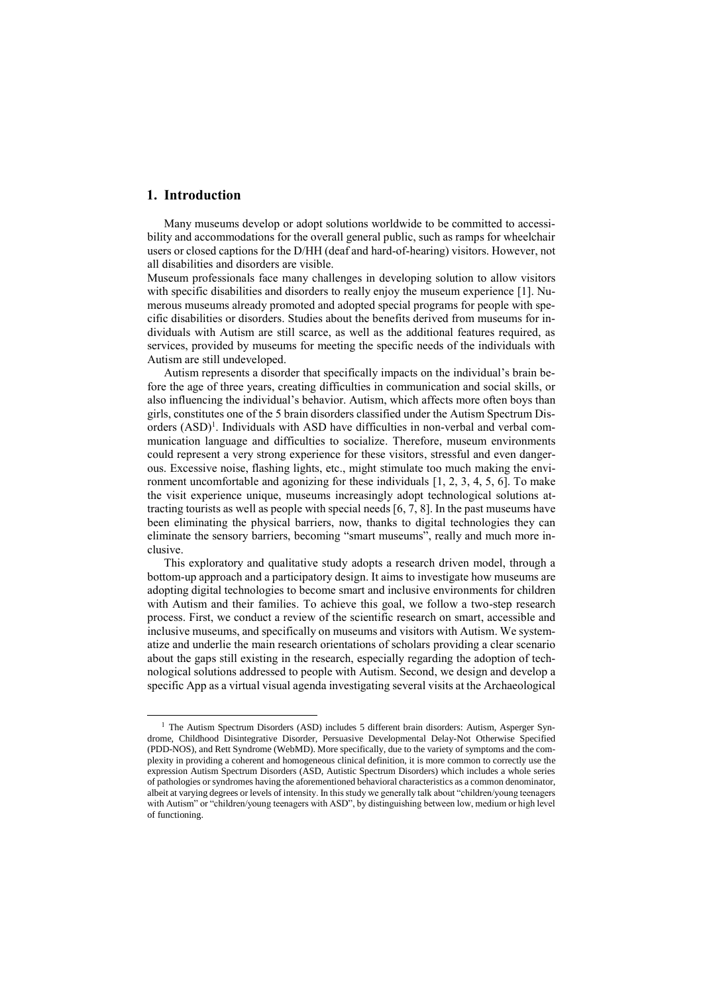## **1. Introduction**

 $\overline{a}$ 

Many museums develop or adopt solutions worldwide to be committed to accessibility and accommodations for the overall general public, such as ramps for wheelchair users or closed captions for the D/HH (deaf and hard-of-hearing) visitors. However, not all disabilities and disorders are visible.

Museum professionals face many challenges in developing solution to allow visitors with specific disabilities and disorders to really enjoy the museum experience [1]. Numerous museums already promoted and adopted special programs for people with specific disabilities or disorders. Studies about the benefits derived from museums for individuals with Autism are still scarce, as well as the additional features required, as services, provided by museums for meeting the specific needs of the individuals with Autism are still undeveloped.

Autism represents a disorder that specifically impacts on the individual's brain before the age of three years, creating difficulties in communication and social skills, or also influencing the individual's behavior. Autism, which affects more often boys than girls, constitutes one of the 5 brain disorders classified under the Autism Spectrum Disorders (ASD)<sup>1</sup>. Individuals with ASD have difficulties in non-verbal and verbal communication language and difficulties to socialize. Therefore, museum environments could represent a very strong experience for these visitors, stressful and even dangerous. Excessive noise, flashing lights, etc., might stimulate too much making the environment uncomfortable and agonizing for these individuals [1, 2, 3, 4, 5, 6]. To make the visit experience unique, museums increasingly adopt technological solutions attracting tourists as well as people with special needs [6, 7, 8]. In the past museums have been eliminating the physical barriers, now, thanks to digital technologies they can eliminate the sensory barriers, becoming "smart museums", really and much more inclusive.

This exploratory and qualitative study adopts a research driven model, through a bottom-up approach and a participatory design. It aims to investigate how museums are adopting digital technologies to become smart and inclusive environments for children with Autism and their families. To achieve this goal, we follow a two-step research process. First, we conduct a review of the scientific research on smart, accessible and inclusive museums, and specifically on museums and visitors with Autism. We systematize and underlie the main research orientations of scholars providing a clear scenario about the gaps still existing in the research, especially regarding the adoption of technological solutions addressed to people with Autism. Second, we design and develop a specific App as a virtual visual agenda investigating several visits at the Archaeological

<sup>&</sup>lt;sup>1</sup> The Autism Spectrum Disorders (ASD) includes 5 different brain disorders: Autism, Asperger Syndrome, Childhood Disintegrative Disorder, Persuasive Developmental Delay-Not Otherwise Specified (PDD-NOS), and Rett Syndrome (WebMD). More specifically, due to the variety of symptoms and the complexity in providing a coherent and homogeneous clinical definition, it is more common to correctly use the expression Autism Spectrum Disorders (ASD, Autistic Spectrum Disorders) which includes a whole series of pathologies or syndromes having the aforementioned behavioral characteristics as a common denominator, albeit at varying degrees or levels of intensity. In this study we generally talk about "children/young teenagers with Autism" or "children/young teenagers with ASD", by distinguishing between low, medium or high level of functioning.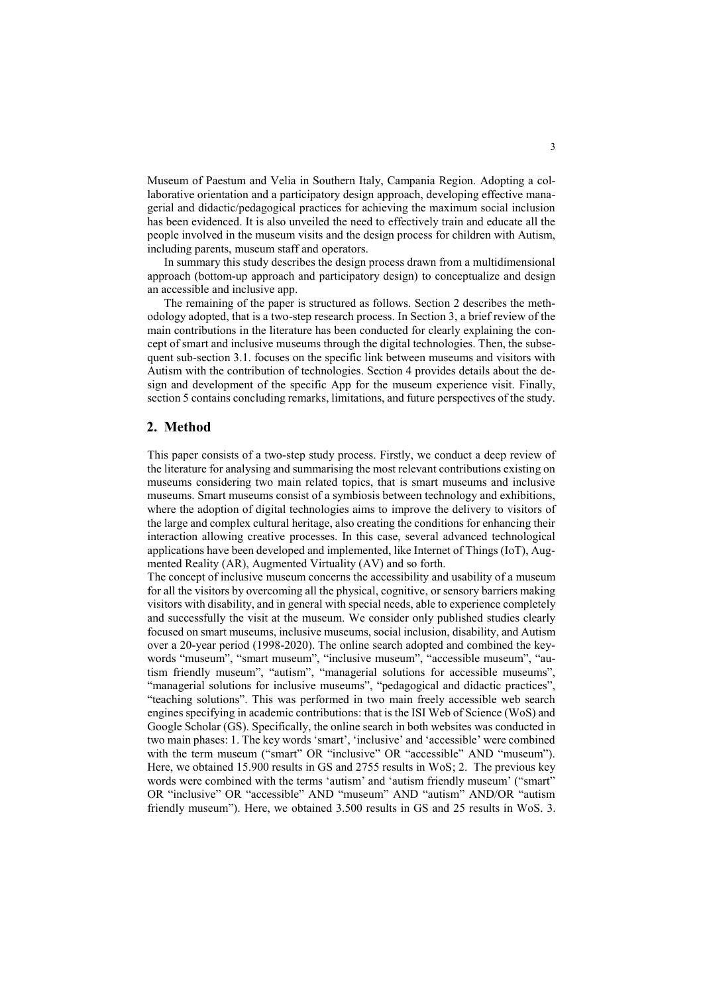Museum of Paestum and Velia in Southern Italy, Campania Region. Adopting a collaborative orientation and a participatory design approach, developing effective managerial and didactic/pedagogical practices for achieving the maximum social inclusion has been evidenced. It is also unveiled the need to effectively train and educate all the people involved in the museum visits and the design process for children with Autism, including parents, museum staff and operators.

In summary this study describes the design process drawn from a multidimensional approach (bottom-up approach and participatory design) to conceptualize and design an accessible and inclusive app.

The remaining of the paper is structured as follows. Section 2 describes the methodology adopted, that is a two-step research process. In Section 3, a brief review of the main contributions in the literature has been conducted for clearly explaining the concept of smart and inclusive museums through the digital technologies. Then, the subsequent sub-section 3.1. focuses on the specific link between museums and visitors with Autism with the contribution of technologies. Section 4 provides details about the design and development of the specific App for the museum experience visit. Finally, section 5 contains concluding remarks, limitations, and future perspectives of the study.

### **2. Method**

This paper consists of a two-step study process. Firstly, we conduct a deep review of the literature for analysing and summarising the most relevant contributions existing on museums considering two main related topics, that is smart museums and inclusive museums. Smart museums consist of a symbiosis between technology and exhibitions, where the adoption of digital technologies aims to improve the delivery to visitors of the large and complex cultural heritage, also creating the conditions for enhancing their interaction allowing creative processes. In this case, several advanced technological applications have been developed and implemented, like Internet of Things (IoT), Augmented Reality (AR), Augmented Virtuality (AV) and so forth.

The concept of inclusive museum concerns the accessibility and usability of a museum for all the visitors by overcoming all the physical, cognitive, or sensory barriers making visitors with disability, and in general with special needs, able to experience completely and successfully the visit at the museum. We consider only published studies clearly focused on smart museums, inclusive museums, social inclusion, disability, and Autism over a 20-year period (1998-2020). The online search adopted and combined the keywords "museum", "smart museum", "inclusive museum", "accessible museum", "autism friendly museum", "autism", "managerial solutions for accessible museums", "managerial solutions for inclusive museums", "pedagogical and didactic practices", "teaching solutions". This was performed in two main freely accessible web search engines specifying in academic contributions: that is the ISI Web of Science (WoS) and Google Scholar (GS). Specifically, the online search in both websites was conducted in two main phases: 1. The key words 'smart', 'inclusive' and 'accessible' were combined with the term museum ("smart" OR "inclusive" OR "accessible" AND "museum"). Here, we obtained 15.900 results in GS and 2755 results in WoS; 2. The previous key words were combined with the terms 'autism' and 'autism friendly museum' ("smart" OR "inclusive" OR "accessible" AND "museum" AND "autism" AND/OR "autism friendly museum"). Here, we obtained 3.500 results in GS and 25 results in WoS. 3.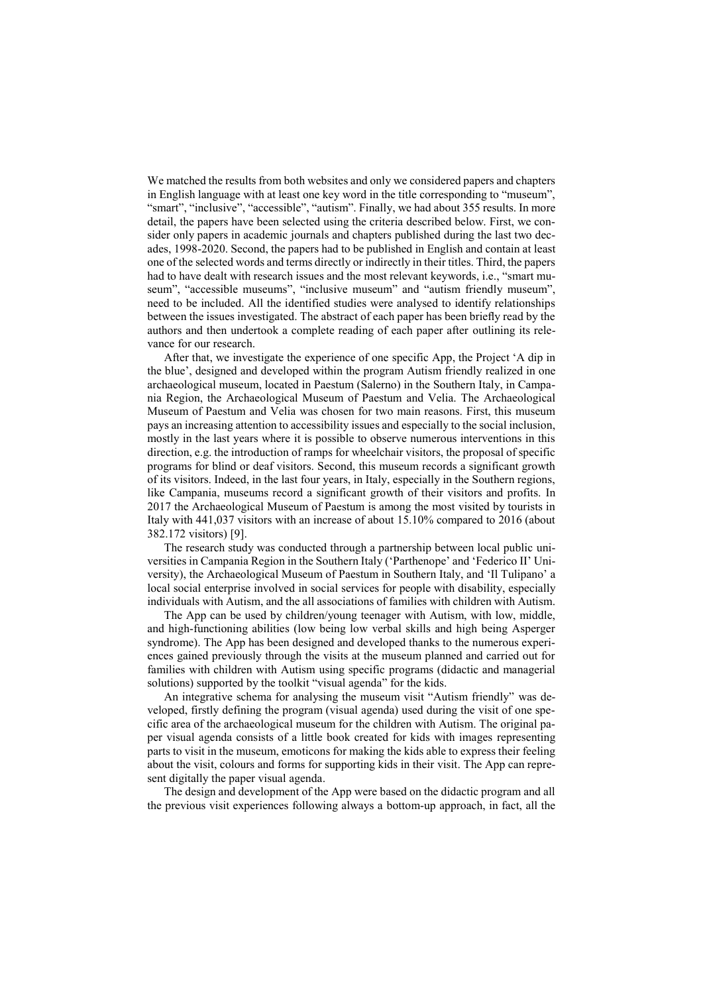We matched the results from both websites and only we considered papers and chapters in English language with at least one key word in the title corresponding to "museum", "smart", "inclusive", "accessible", "autism". Finally, we had about 355 results. In more detail, the papers have been selected using the criteria described below. First, we consider only papers in academic journals and chapters published during the last two decades, 1998-2020. Second, the papers had to be published in English and contain at least one of the selected words and terms directly or indirectly in their titles. Third, the papers had to have dealt with research issues and the most relevant keywords, i.e., "smart museum", "accessible museums", "inclusive museum" and "autism friendly museum", need to be included. All the identified studies were analysed to identify relationships between the issues investigated. The abstract of each paper has been briefly read by the authors and then undertook a complete reading of each paper after outlining its relevance for our research.

After that, we investigate the experience of one specific App, the Project 'A dip in the blue', designed and developed within the program Autism friendly realized in one archaeological museum, located in Paestum (Salerno) in the Southern Italy, in Campania Region, the Archaeological Museum of Paestum and Velia. The Archaeological Museum of Paestum and Velia was chosen for two main reasons. First, this museum pays an increasing attention to accessibility issues and especially to the social inclusion, mostly in the last years where it is possible to observe numerous interventions in this direction, e.g. the introduction of ramps for wheelchair visitors, the proposal of specific programs for blind or deaf visitors. Second, this museum records a significant growth of its visitors. Indeed, in the last four years, in Italy, especially in the Southern regions, like Campania, museums record a significant growth of their visitors and profits. In 2017 the Archaeological Museum of Paestum is among the most visited by tourists in Italy with 441,037 visitors with an increase of about 15.10% compared to 2016 (about 382.172 visitors) [9].

The research study was conducted through a partnership between local public universities in Campania Region in the Southern Italy ('Parthenope' and 'Federico II' University), the Archaeological Museum of Paestum in Southern Italy, and 'Il Tulipano' a local social enterprise involved in social services for people with disability, especially individuals with Autism, and the all associations of families with children with Autism.

The App can be used by children/young teenager with Autism, with low, middle, and high-functioning abilities (low being low verbal skills and high being Asperger syndrome). The App has been designed and developed thanks to the numerous experiences gained previously through the visits at the museum planned and carried out for families with children with Autism using specific programs (didactic and managerial solutions) supported by the toolkit "visual agenda" for the kids.

An integrative schema for analysing the museum visit "Autism friendly" was developed, firstly defining the program (visual agenda) used during the visit of one specific area of the archaeological museum for the children with Autism. The original paper visual agenda consists of a little book created for kids with images representing parts to visit in the museum, emoticons for making the kids able to express their feeling about the visit, colours and forms for supporting kids in their visit. The App can represent digitally the paper visual agenda.

The design and development of the App were based on the didactic program and all the previous visit experiences following always a bottom-up approach, in fact, all the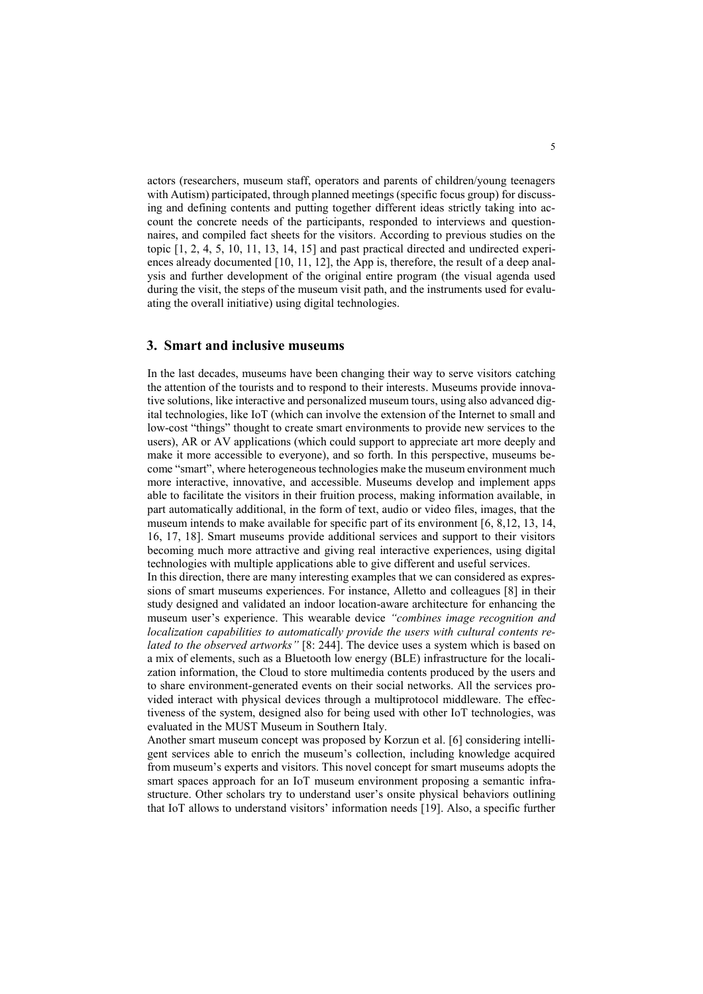actors (researchers, museum staff, operators and parents of children/young teenagers with Autism) participated, through planned meetings (specific focus group) for discussing and defining contents and putting together different ideas strictly taking into account the concrete needs of the participants, responded to interviews and questionnaires, and compiled fact sheets for the visitors. According to previous studies on the topic [1, 2, 4, 5, 10, 11, 13, 14, 15] and past practical directed and undirected experiences already documented [10, 11, 12], the App is, therefore, the result of a deep analysis and further development of the original entire program (the visual agenda used during the visit, the steps of the museum visit path, and the instruments used for evaluating the overall initiative) using digital technologies.

## **3. Smart and inclusive museums**

In the last decades, museums have been changing their way to serve visitors catching the attention of the tourists and to respond to their interests. Museums provide innovative solutions, like interactive and personalized museum tours, using also advanced digital technologies, like IoT (which can involve the extension of the Internet to small and low-cost "things" thought to create smart environments to provide new services to the users), AR or AV applications (which could support to appreciate art more deeply and make it more accessible to everyone), and so forth. In this perspective, museums become "smart", where heterogeneous technologies make the museum environment much more interactive, innovative, and accessible. Museums develop and implement apps able to facilitate the visitors in their fruition process, making information available, in part automatically additional, in the form of text, audio or video files, images, that the museum intends to make available for specific part of its environment [6, 8,12, 13, 14, 16, 17, 18]. Smart museums provide additional services and support to their visitors becoming much more attractive and giving real interactive experiences, using digital technologies with multiple applications able to give different and useful services.

In this direction, there are many interesting examples that we can considered as expressions of smart museums experiences. For instance, Alletto and colleagues [8] in their study designed and validated an indoor location-aware architecture for enhancing the museum user's experience. This wearable device *"combines image recognition and localization capabilities to automatically provide the users with cultural contents related to the observed artworks"* [8: 244]. The device uses a system which is based on a mix of elements, such as a Bluetooth low energy (BLE) infrastructure for the localization information, the Cloud to store multimedia contents produced by the users and to share environment-generated events on their social networks. All the services provided interact with physical devices through a multiprotocol middleware. The effectiveness of the system, designed also for being used with other IoT technologies, was evaluated in the MUST Museum in Southern Italy.

Another smart museum concept was proposed by Korzun et al. [6] considering intelligent services able to enrich the museum's collection, including knowledge acquired from museum's experts and visitors. This novel concept for smart museums adopts the smart spaces approach for an IoT museum environment proposing a semantic infrastructure. Other scholars try to understand user's onsite physical behaviors outlining that IoT allows to understand visitors' information needs [19]. Also, a specific further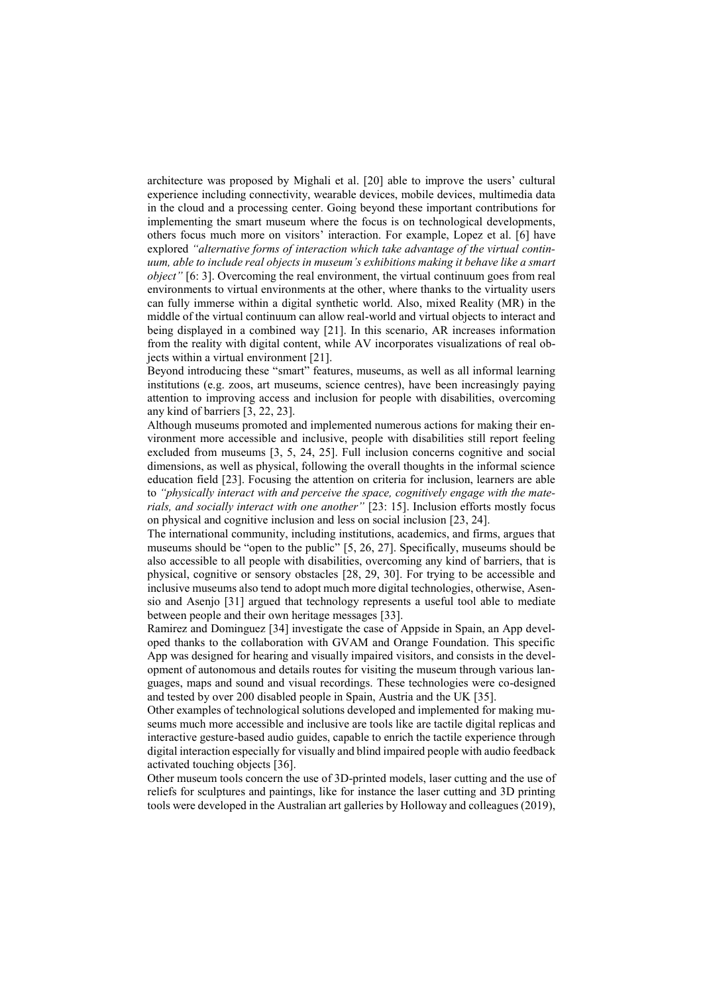architecture was proposed by Mighali et al. [20] able to improve the users' cultural experience including connectivity, wearable devices, mobile devices, multimedia data in the cloud and a processing center. Going beyond these important contributions for implementing the smart museum where the focus is on technological developments, others focus much more on visitors' interaction. For example, Lopez et al. [6] have explored *"alternative forms of interaction which take advantage of the virtual continuum, able to include real objects in museum's exhibitions making it behave like a smart object*<sup>"</sup> [6: 3]. Overcoming the real environment, the virtual continuum goes from real environments to virtual environments at the other, where thanks to the virtuality users can fully immerse within a digital synthetic world. Also, mixed Reality (MR) in the middle of the virtual continuum can allow real-world and virtual objects to interact and being displayed in a combined way [21]. In this scenario, AR increases information from the reality with digital content, while AV incorporates visualizations of real objects within a virtual environment [21].

Beyond introducing these "smart" features, museums, as well as all informal learning institutions (e.g. zoos, art museums, science centres), have been increasingly paying attention to improving access and inclusion for people with disabilities, overcoming any kind of barriers [3, 22, 23].

Although museums promoted and implemented numerous actions for making their environment more accessible and inclusive, people with disabilities still report feeling excluded from museums [3, 5, 24, 25]. Full inclusion concerns cognitive and social dimensions, as well as physical, following the overall thoughts in the informal science education field [23]. Focusing the attention on criteria for inclusion, learners are able to *"physically interact with and perceive the space, cognitively engage with the materials, and socially interact with one another"* [23: 15]. Inclusion efforts mostly focus on physical and cognitive inclusion and less on social inclusion [23, 24].

The international community, including institutions, academics, and firms, argues that museums should be "open to the public" [5, 26, 27]. Specifically, museums should be also accessible to all people with disabilities, overcoming any kind of barriers, that is physical, cognitive or sensory obstacles [28, 29, 30]. For trying to be accessible and inclusive museums also tend to adopt much more digital technologies, otherwise, Asensio and Asenjo [31] argued that technology represents a useful tool able to mediate between people and their own heritage messages [33].

Ramirez and Dominguez [34] investigate the case of Appside in Spain, an App developed thanks to the collaboration with GVAM and Orange Foundation. This specific App was designed for hearing and visually impaired visitors, and consists in the development of autonomous and details routes for visiting the museum through various languages, maps and sound and visual recordings. These technologies were co-designed and tested by over 200 disabled people in Spain, Austria and the UK [35].

Other examples of technological solutions developed and implemented for making museums much more accessible and inclusive are tools like are tactile digital replicas and interactive gesture-based audio guides, capable to enrich the tactile experience through digital interaction especially for visually and blind impaired people with audio feedback activated touching objects [36].

Other museum tools concern the use of 3D-printed models, laser cutting and the use of reliefs for sculptures and paintings, like for instance the laser cutting and 3D printing tools were developed in the Australian art galleries by Holloway and colleagues (2019),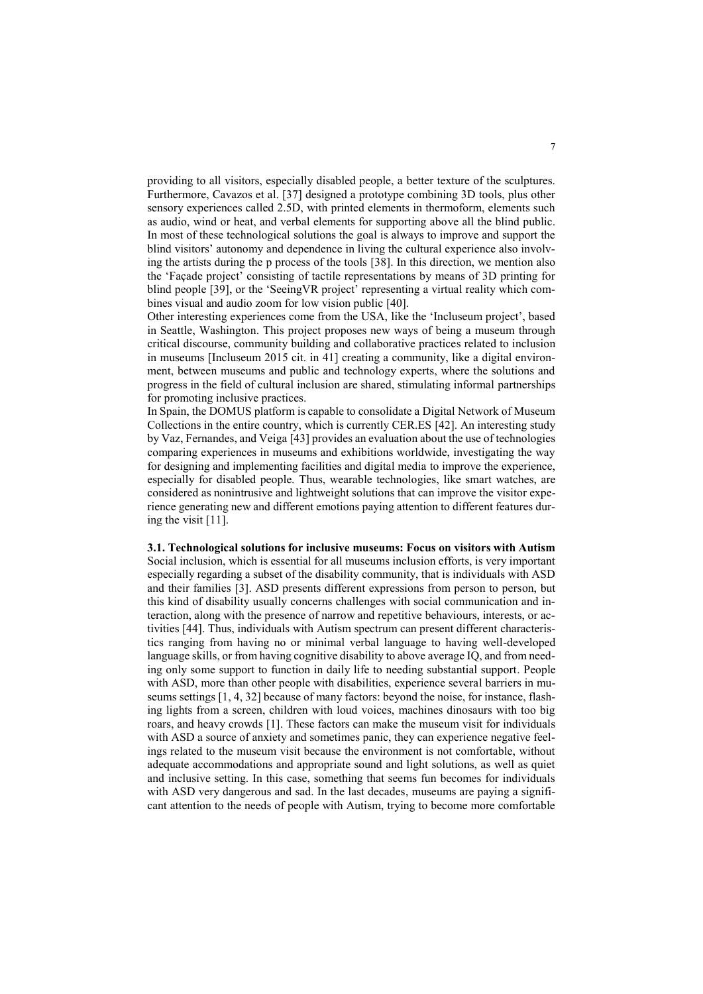providing to all visitors, especially disabled people, a better texture of the sculptures. Furthermore, Cavazos et al. [37] designed a prototype combining 3D tools, plus other sensory experiences called 2.5D, with printed elements in thermoform, elements such as audio, wind or heat, and verbal elements for supporting above all the blind public. In most of these technological solutions the goal is always to improve and support the blind visitors' autonomy and dependence in living the cultural experience also involving the artists during the p process of the tools [38]. In this direction, we mention also the 'Façade project' consisting of tactile representations by means of 3D printing for blind people [39], or the 'SeeingVR project' representing a virtual reality which combines visual and audio zoom for low vision public [40].

Other interesting experiences come from the USA, like the 'Incluseum project', based in Seattle, Washington. This project proposes new ways of being a museum through critical discourse, community building and collaborative practices related to inclusion in museums [Incluseum 2015 cit. in 41] creating a community, like a digital environment, between museums and public and technology experts, where the solutions and progress in the field of cultural inclusion are shared, stimulating informal partnerships for promoting inclusive practices.

In Spain, the DOMUS platform is capable to consolidate a Digital Network of Museum Collections in the entire country, which is currently CER.ES [42]. An interesting study by Vaz, Fernandes, and Veiga [43] provides an evaluation about the use of technologies comparing experiences in museums and exhibitions worldwide, investigating the way for designing and implementing facilities and digital media to improve the experience, especially for disabled people. Thus, wearable technologies, like smart watches, are considered as nonintrusive and lightweight solutions that can improve the visitor experience generating new and different emotions paying attention to different features during the visit [11].

**3.1. Technological solutions for inclusive museums: Focus on visitors with Autism** Social inclusion, which is essential for all museums inclusion efforts, is very important especially regarding a subset of the disability community, that is individuals with ASD and their families [3]. ASD presents different expressions from person to person, but this kind of disability usually concerns challenges with social communication and interaction, along with the presence of narrow and repetitive behaviours, interests, or activities [44]. Thus, individuals with Autism spectrum can present different characteristics ranging from having no or minimal verbal language to having well-developed language skills, or from having cognitive disability to above average IQ, and from needing only some support to function in daily life to needing substantial support. People with ASD, more than other people with disabilities, experience several barriers in museums settings [1, 4, 32] because of many factors: beyond the noise, for instance, flashing lights from a screen, children with loud voices, machines dinosaurs with too big roars, and heavy crowds [1]. These factors can make the museum visit for individuals with ASD a source of anxiety and sometimes panic, they can experience negative feelings related to the museum visit because the environment is not comfortable, without adequate accommodations and appropriate sound and light solutions, as well as quiet and inclusive setting. In this case, something that seems fun becomes for individuals with ASD very dangerous and sad. In the last decades, museums are paying a significant attention to the needs of people with Autism, trying to become more comfortable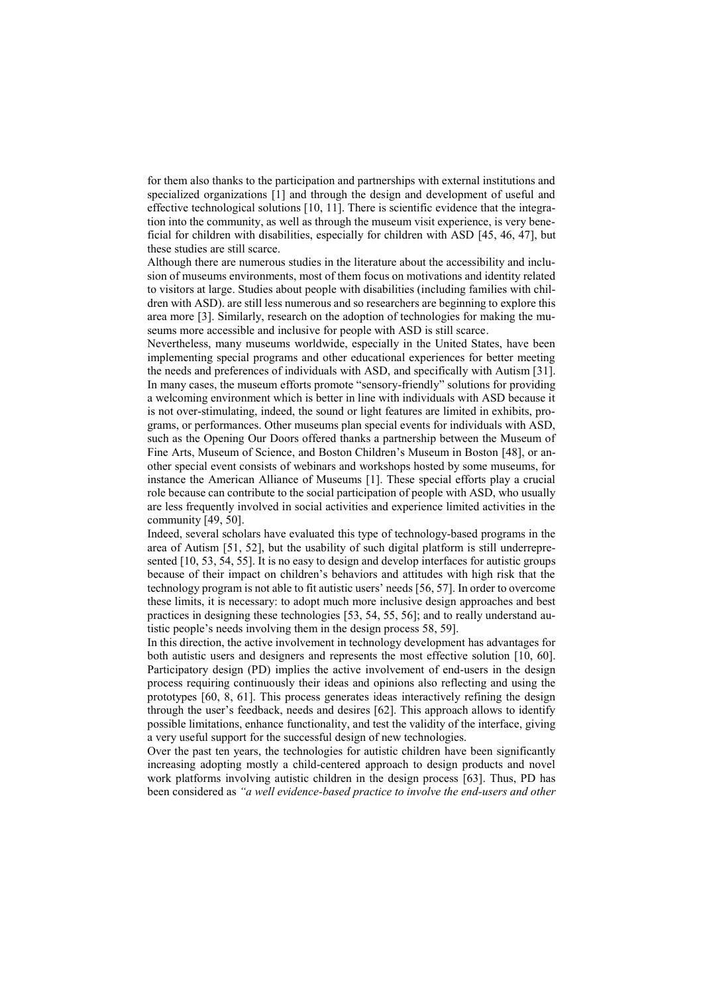for them also thanks to the participation and partnerships with external institutions and specialized organizations [1] and through the design and development of useful and effective technological solutions [10, 11]. There is scientific evidence that the integration into the community, as well as through the museum visit experience, is very beneficial for children with disabilities, especially for children with ASD [45, 46, 47], but these studies are still scarce.

Although there are numerous studies in the literature about the accessibility and inclusion of museums environments, most of them focus on motivations and identity related to visitors at large. Studies about people with disabilities (including families with children with ASD). are still less numerous and so researchers are beginning to explore this area more [3]. Similarly, research on the adoption of technologies for making the museums more accessible and inclusive for people with ASD is still scarce.

Nevertheless, many museums worldwide, especially in the United States, have been implementing special programs and other educational experiences for better meeting the needs and preferences of individuals with ASD, and specifically with Autism [31]. In many cases, the museum efforts promote "sensory-friendly" solutions for providing a welcoming environment which is better in line with individuals with ASD because it is not over-stimulating, indeed, the sound or light features are limited in exhibits, programs, or performances. Other museums plan special events for individuals with ASD, such as the Opening Our Doors offered thanks a partnership between the Museum of Fine Arts, Museum of Science, and Boston Children's Museum in Boston [48], or another special event consists of webinars and workshops hosted by some museums, for instance the American Alliance of Museums [1]. These special efforts play a crucial role because can contribute to the social participation of people with ASD, who usually are less frequently involved in social activities and experience limited activities in the community [49, 50].

Indeed, several scholars have evaluated this type of technology-based programs in the area of Autism [51, 52], but the usability of such digital platform is still underrepresented [10, 53, 54, 55]. It is no easy to design and develop interfaces for autistic groups because of their impact on children's behaviors and attitudes with high risk that the technology program is not able to fit autistic users' needs [56, 57]. In order to overcome these limits, it is necessary: to adopt much more inclusive design approaches and best practices in designing these technologies [53, 54, 55, 56]; and to really understand autistic people's needs involving them in the design process 58, 59].

In this direction, the active involvement in technology development has advantages for both autistic users and designers and represents the most effective solution [10, 60]. Participatory design (PD) implies the active involvement of end-users in the design process requiring continuously their ideas and opinions also reflecting and using the prototypes [60, 8, 61]. This process generates ideas interactively refining the design through the user's feedback, needs and desires [62]. This approach allows to identify possible limitations, enhance functionality, and test the validity of the interface, giving a very useful support for the successful design of new technologies.

Over the past ten years, the technologies for autistic children have been significantly increasing adopting mostly a child-centered approach to design products and novel work platforms involving autistic children in the design process [63]. Thus, PD has been considered as *"a well evidence-based practice to involve the end-users and other*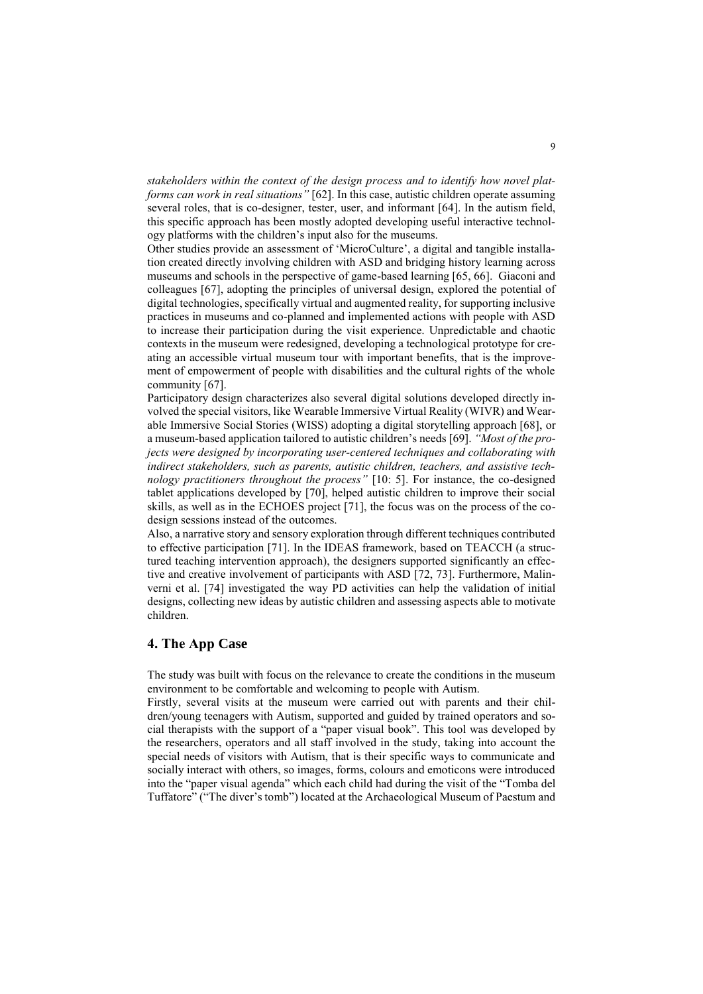*stakeholders within the context of the design process and to identify how novel platforms can work in real situations"* [62]. In this case, autistic children operate assuming several roles, that is co-designer, tester, user, and informant [64]. In the autism field, this specific approach has been mostly adopted developing useful interactive technology platforms with the children's input also for the museums.

Other studies provide an assessment of 'MicroCulture', a digital and tangible installation created directly involving children with ASD and bridging history learning across museums and schools in the perspective of game-based learning [65, 66]. Giaconi and colleagues [67], adopting the principles of universal design, explored the potential of digital technologies, specifically virtual and augmented reality, for supporting inclusive practices in museums and co-planned and implemented actions with people with ASD to increase their participation during the visit experience. Unpredictable and chaotic contexts in the museum were redesigned, developing a technological prototype for creating an accessible virtual museum tour with important benefits, that is the improvement of empowerment of people with disabilities and the cultural rights of the whole community [67].

Participatory design characterizes also several digital solutions developed directly involved the special visitors, like Wearable Immersive Virtual Reality (WIVR) and Wearable Immersive Social Stories (WISS) adopting a digital storytelling approach [68], or a museum-based application tailored to autistic children's needs [69]. *"Most of the projects were designed by incorporating user-centered techniques and collaborating with indirect stakeholders, such as parents, autistic children, teachers, and assistive technology practitioners throughout the process"* [10: 5]. For instance, the co-designed tablet applications developed by [70], helped autistic children to improve their social skills, as well as in the ECHOES project [71], the focus was on the process of the codesign sessions instead of the outcomes.

Also, a narrative story and sensory exploration through different techniques contributed to effective participation [71]. In the IDEAS framework, based on TEACCH (a structured teaching intervention approach), the designers supported significantly an effective and creative involvement of participants with ASD [72, 73]. Furthermore, Malinverni et al. [74] investigated the way PD activities can help the validation of initial designs, collecting new ideas by autistic children and assessing aspects able to motivate children.

# **4. The App Case**

The study was built with focus on the relevance to create the conditions in the museum environment to be comfortable and welcoming to people with Autism.

Firstly, several visits at the museum were carried out with parents and their children/young teenagers with Autism, supported and guided by trained operators and social therapists with the support of a "paper visual book". This tool was developed by the researchers, operators and all staff involved in the study, taking into account the special needs of visitors with Autism, that is their specific ways to communicate and socially interact with others, so images, forms, colours and emoticons were introduced into the "paper visual agenda" which each child had during the visit of the "Tomba del Tuffatore" ("The diver's tomb") located at the Archaeological Museum of Paestum and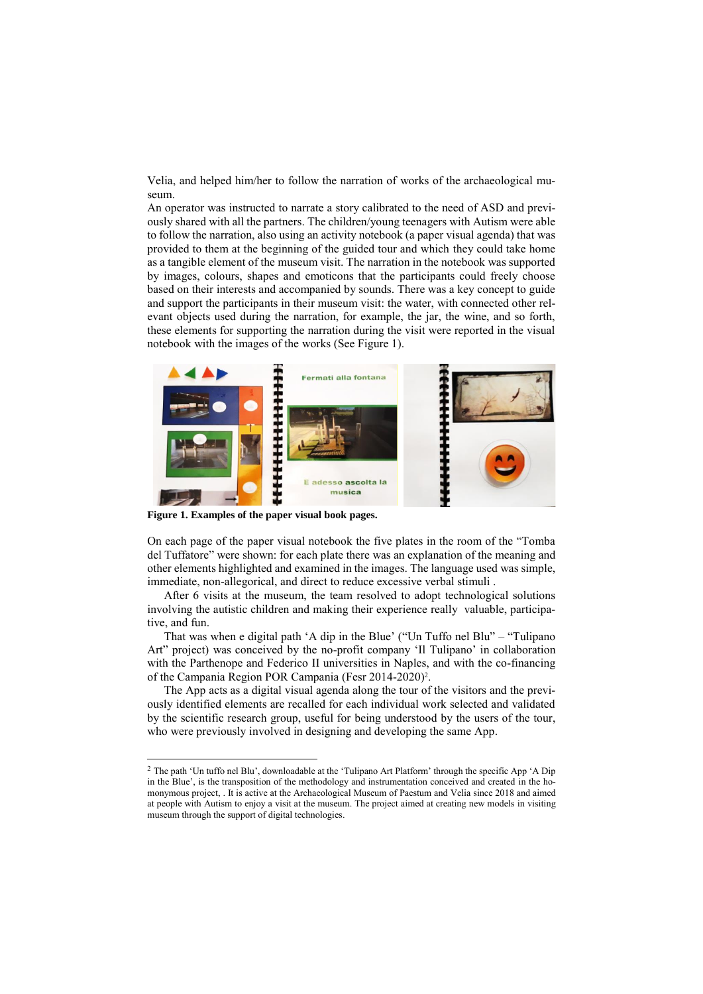Velia, and helped him/her to follow the narration of works of the archaeological museum.

An operator was instructed to narrate a story calibrated to the need of ASD and previously shared with all the partners. The children/young teenagers with Autism were able to follow the narration, also using an activity notebook (a paper visual agenda) that was provided to them at the beginning of the guided tour and which they could take home as a tangible element of the museum visit. The narration in the notebook was supported by images, colours, shapes and emoticons that the participants could freely choose based on their interests and accompanied by sounds. There was a key concept to guide and support the participants in their museum visit: the water, with connected other relevant objects used during the narration, for example, the jar, the wine, and so forth, these elements for supporting the narration during the visit were reported in the visual notebook with the images of the works (See Figure 1).



**Figure 1. Examples of the paper visual book pages.**

-

On each page of the paper visual notebook the five plates in the room of the "Tomba del Tuffatore" were shown: for each plate there was an explanation of the meaning and other elements highlighted and examined in the images. The language used was simple, immediate, non-allegorical, and direct to reduce excessive verbal stimuli .

After 6 visits at the museum, the team resolved to adopt technological solutions involving the autistic children and making their experience really valuable, participative, and fun.

That was when e digital path 'A dip in the Blue' ("Un Tuffo nel Blu" – "Tulipano Art" project) was conceived by the no-profit company 'Il Tulipano' in collaboration with the Parthenope and Federico II universities in Naples, and with the co-financing of the Campania Region POR Campania (Fesr 2014-2020)<sup>2</sup>.

The App acts as a digital visual agenda along the tour of the visitors and the previously identified elements are recalled for each individual work selected and validated by the scientific research group, useful for being understood by the users of the tour, who were previously involved in designing and developing the same App.

<sup>&</sup>lt;sup>2</sup> The path 'Un tuffo nel Blu', downloadable at the 'Tulipano Art Platform' through the specific App 'A Dip in the Blue', is the transposition of the methodology and instrumentation conceived and created in the homonymous project, . It is active at the Archaeological Museum of Paestum and Velia since 2018 and aimed at people with Autism to enjoy a visit at the museum. The project aimed at creating new models in visiting museum through the support of digital technologies.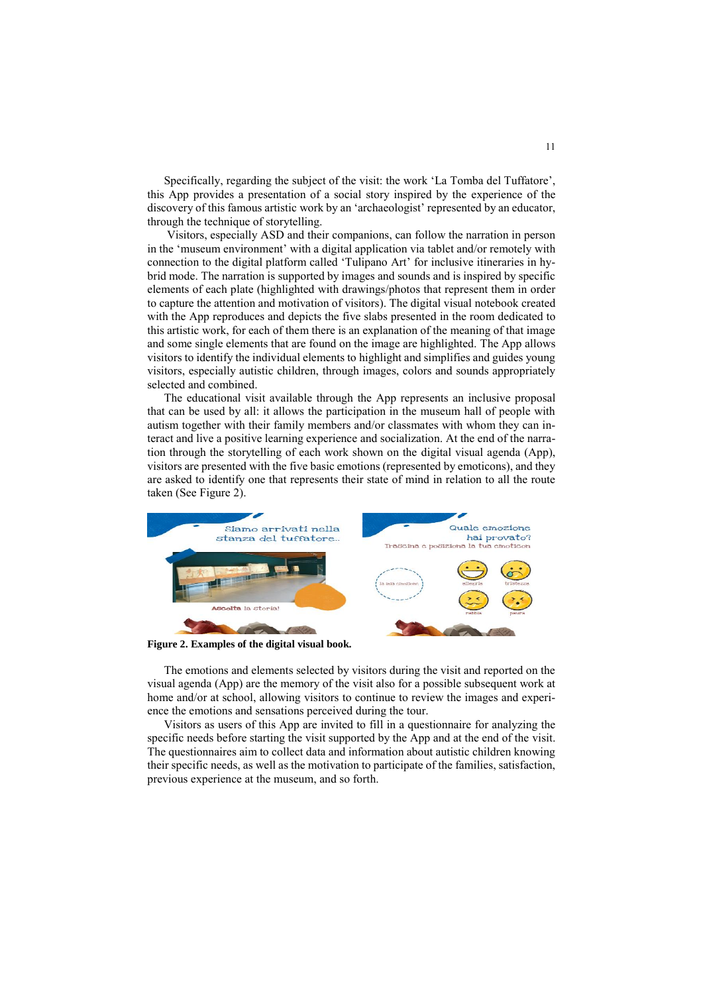Specifically, regarding the subject of the visit: the work 'La Tomba del Tuffatore', this App provides a presentation of a social story inspired by the experience of the discovery of this famous artistic work by an 'archaeologist' represented by an educator, through the technique of storytelling.

Visitors, especially ASD and their companions, can follow the narration in person in the 'museum environment' with a digital application via tablet and/or remotely with connection to the digital platform called 'Tulipano Art' for inclusive itineraries in hybrid mode. The narration is supported by images and sounds and is inspired by specific elements of each plate (highlighted with drawings/photos that represent them in order to capture the attention and motivation of visitors). The digital visual notebook created with the App reproduces and depicts the five slabs presented in the room dedicated to this artistic work, for each of them there is an explanation of the meaning of that image and some single elements that are found on the image are highlighted. The App allows visitors to identify the individual elements to highlight and simplifies and guides young visitors, especially autistic children, through images, colors and sounds appropriately selected and combined.

The educational visit available through the App represents an inclusive proposal that can be used by all: it allows the participation in the museum hall of people with autism together with their family members and/or classmates with whom they can interact and live a positive learning experience and socialization. At the end of the narration through the storytelling of each work shown on the digital visual agenda (App), visitors are presented with the five basic emotions (represented by emoticons), and they are asked to identify one that represents their state of mind in relation to all the route taken (See Figure 2).



**Figure 2. Examples of the digital visual book.**

The emotions and elements selected by visitors during the visit and reported on the visual agenda (App) are the memory of the visit also for a possible subsequent work at home and/or at school, allowing visitors to continue to review the images and experience the emotions and sensations perceived during the tour.

Visitors as users of this App are invited to fill in a questionnaire for analyzing the specific needs before starting the visit supported by the App and at the end of the visit. The questionnaires aim to collect data and information about autistic children knowing their specific needs, as well as the motivation to participate of the families, satisfaction, previous experience at the museum, and so forth.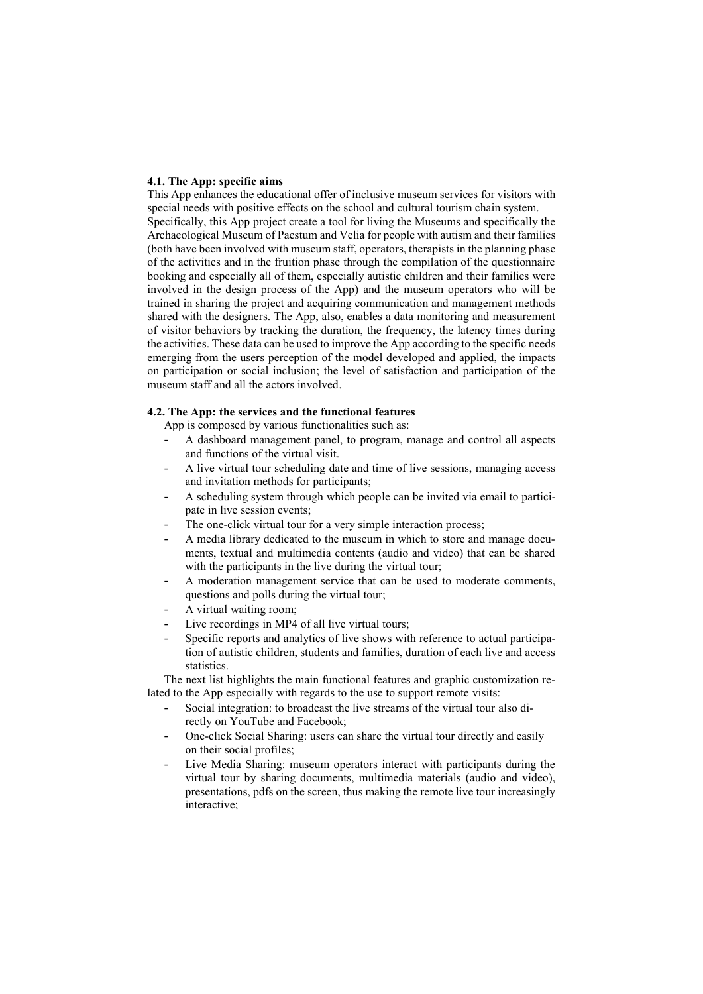#### **4.1. The App: specific aims**

This App enhances the educational offer of inclusive museum services for visitors with special needs with positive effects on the school and cultural tourism chain system. Specifically, this App project create a tool for living the Museums and specifically the Archaeological Museum of Paestum and Velia for people with autism and their families (both have been involved with museum staff, operators, therapists in the planning phase of the activities and in the fruition phase through the compilation of the questionnaire booking and especially all of them, especially autistic children and their families were involved in the design process of the App) and the museum operators who will be trained in sharing the project and acquiring communication and management methods shared with the designers. The App, also, enables a data monitoring and measurement of visitor behaviors by tracking the duration, the frequency, the latency times during the activities. These data can be used to improve the App according to the specific needs emerging from the users perception of the model developed and applied, the impacts on participation or social inclusion; the level of satisfaction and participation of the museum staff and all the actors involved.

### **4.2. The App: the services and the functional features**

App is composed by various functionalities such as:

- A dashboard management panel, to program, manage and control all aspects and functions of the virtual visit.
- A live virtual tour scheduling date and time of live sessions, managing access and invitation methods for participants;
- A scheduling system through which people can be invited via email to participate in live session events;
- The one-click virtual tour for a very simple interaction process;
- A media library dedicated to the museum in which to store and manage documents, textual and multimedia contents (audio and video) that can be shared with the participants in the live during the virtual tour;
- A moderation management service that can be used to moderate comments, questions and polls during the virtual tour;
- A virtual waiting room;
- Live recordings in MP4 of all live virtual tours;
- Specific reports and analytics of live shows with reference to actual participation of autistic children, students and families, duration of each live and access statistics.

The next list highlights the main functional features and graphic customization related to the App especially with regards to the use to support remote visits:

- Social integration: to broadcast the live streams of the virtual tour also directly on YouTube and Facebook;
- One-click Social Sharing: users can share the virtual tour directly and easily on their social profiles;
- Live Media Sharing: museum operators interact with participants during the virtual tour by sharing documents, multimedia materials (audio and video), presentations, pdfs on the screen, thus making the remote live tour increasingly interactive;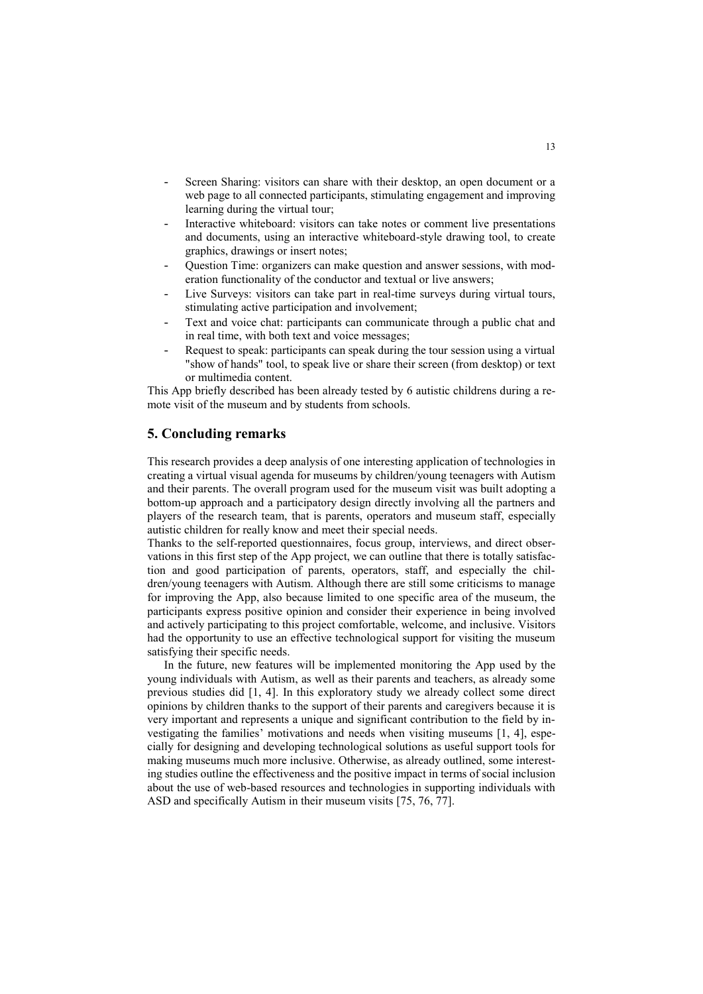- Screen Sharing: visitors can share with their desktop, an open document or a web page to all connected participants, stimulating engagement and improving learning during the virtual tour;
- Interactive whiteboard: visitors can take notes or comment live presentations and documents, using an interactive whiteboard-style drawing tool, to create graphics, drawings or insert notes;
- Question Time: organizers can make question and answer sessions, with moderation functionality of the conductor and textual or live answers;
- Live Surveys: visitors can take part in real-time surveys during virtual tours, stimulating active participation and involvement;
- Text and voice chat: participants can communicate through a public chat and in real time, with both text and voice messages;
- Request to speak: participants can speak during the tour session using a virtual "show of hands" tool, to speak live or share their screen (from desktop) or text or multimedia content.

This App briefly described has been already tested by 6 autistic childrens during a remote visit of the museum and by students from schools.

# **5. Concluding remarks**

This research provides a deep analysis of one interesting application of technologies in creating a virtual visual agenda for museums by children/young teenagers with Autism and their parents. The overall program used for the museum visit was built adopting a bottom-up approach and a participatory design directly involving all the partners and players of the research team, that is parents, operators and museum staff, especially autistic children for really know and meet their special needs.

Thanks to the self-reported questionnaires, focus group, interviews, and direct observations in this first step of the App project, we can outline that there is totally satisfaction and good participation of parents, operators, staff, and especially the children/young teenagers with Autism. Although there are still some criticisms to manage for improving the App, also because limited to one specific area of the museum, the participants express positive opinion and consider their experience in being involved and actively participating to this project comfortable, welcome, and inclusive. Visitors had the opportunity to use an effective technological support for visiting the museum satisfying their specific needs.

In the future, new features will be implemented monitoring the App used by the young individuals with Autism, as well as their parents and teachers, as already some previous studies did [1, 4]. In this exploratory study we already collect some direct opinions by children thanks to the support of their parents and caregivers because it is very important and represents a unique and significant contribution to the field by investigating the families' motivations and needs when visiting museums [1, 4], especially for designing and developing technological solutions as useful support tools for making museums much more inclusive. Otherwise, as already outlined, some interesting studies outline the effectiveness and the positive impact in terms of social inclusion about the use of web-based resources and technologies in supporting individuals with ASD and specifically Autism in their museum visits [75, 76, 77].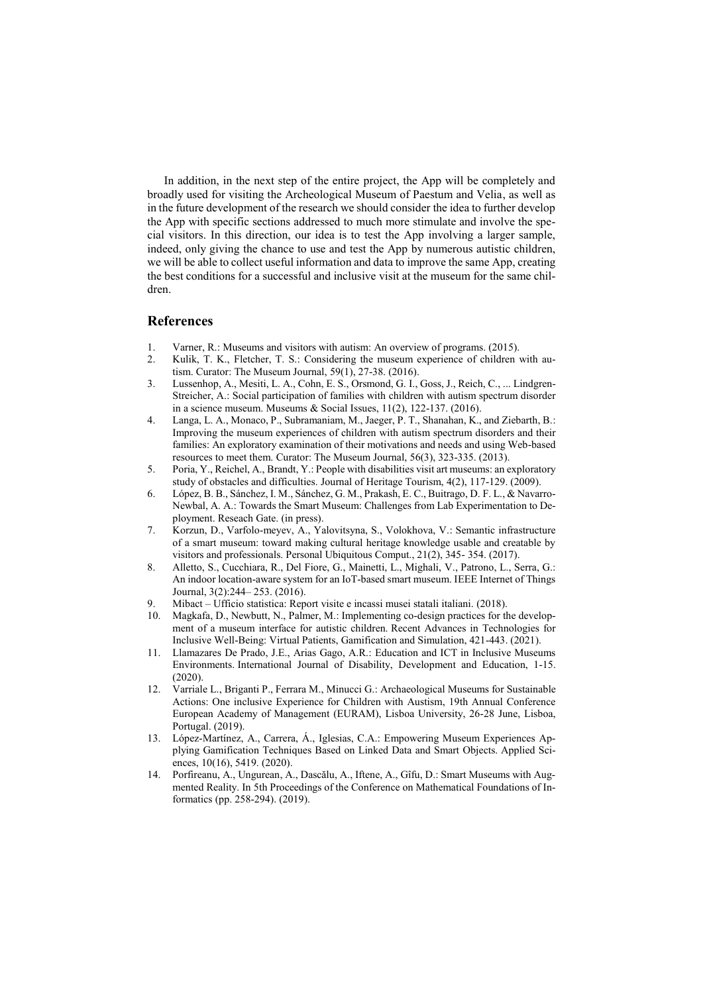In addition, in the next step of the entire project, the App will be completely and broadly used for visiting the Archeological Museum of Paestum and Velia, as well as in the future development of the research we should consider the idea to further develop the App with specific sections addressed to much more stimulate and involve the special visitors. In this direction, our idea is to test the App involving a larger sample, indeed, only giving the chance to use and test the App by numerous autistic children, we will be able to collect useful information and data to improve the same App, creating the best conditions for a successful and inclusive visit at the museum for the same children.

## **References**

- 1. Varner, R.: Museums and visitors with autism: An overview of programs. (2015).
- 2. Kulik, T. K., Fletcher, T. S.: Considering the museum experience of children with autism. Curator: The Museum Journal, 59(1), 27-38. (2016).
- 3. Lussenhop, A., Mesiti, L. A., Cohn, E. S., Orsmond, G. I., Goss, J., Reich, C., ... Lindgren-Streicher, A.: Social participation of families with children with autism spectrum disorder in a science museum. Museums & Social Issues, 11(2), 122-137. (2016).
- 4. Langa, L. A., Monaco, P., Subramaniam, M., Jaeger, P. T., Shanahan, K., and Ziebarth, B.: Improving the museum experiences of children with autism spectrum disorders and their families: An exploratory examination of their motivations and needs and using Web-based resources to meet them. Curator: The Museum Journal, 56(3), 323-335. (2013).
- 5. Poria, Y., Reichel, A., Brandt, Y.: People with disabilities visit art museums: an exploratory study of obstacles and difficulties. Journal of Heritage Tourism, 4(2), 117-129. (2009).
- 6. López, B. B., Sánchez, I. M., Sánchez, G. M., Prakash, E. C., Buitrago, D. F. L., & Navarro-Newbal, A. A.: Towards the Smart Museum: Challenges from Lab Experimentation to Deployment. Reseach Gate. (in press).
- 7. Korzun, D., Varfolo-meyev, A., Yalovitsyna, S., Volokhova, V.: Semantic infrastructure of a smart museum: toward making cultural heritage knowledge usable and creatable by visitors and professionals. Personal Ubiquitous Comput., 21(2), 345- 354. (2017).
- 8. Alletto, S., Cucchiara, R., Del Fiore, G., Mainetti, L., Mighali, V., Patrono, L., Serra, G.: An indoor location-aware system for an IoT-based smart museum. IEEE Internet of Things Journal, 3(2):244– 253. (2016).
- 9. Mibact Ufficio statistica: Report visite e incassi musei statali italiani. (2018).
- 10. Magkafa, D., Newbutt, N., Palmer, M.: Implementing co-design practices for the development of a museum interface for autistic children. Recent Advances in Technologies for Inclusive Well-Being: Virtual Patients, Gamification and Simulation, 421-443. (2021).
- 11. Llamazares De Prado, J.E., Arias Gago, A.R.: Education and ICT in Inclusive Museums Environments. International Journal of Disability, Development and Education, 1-15. (2020).
- 12. Varriale L., Briganti P., Ferrara M., Minucci G.: Archaeological Museums for Sustainable Actions: One inclusive Experience for Children with Austism, 19th Annual Conference European Academy of Management (EURAM), Lisboa University, 26-28 June, Lisboa, Portugal. (2019).
- 13. López-Martínez, A., Carrera, Á., Iglesias, C.A.: Empowering Museum Experiences Applying Gamification Techniques Based on Linked Data and Smart Objects. Applied Sciences, 10(16), 5419. (2020).
- 14. Porfireanu, A., Ungurean, A., Dascălu, A., Iftene, A., Gîfu, D.: Smart Museums with Augmented Reality. In 5th Proceedings of the Conference on Mathematical Foundations of Informatics (pp. 258-294). (2019).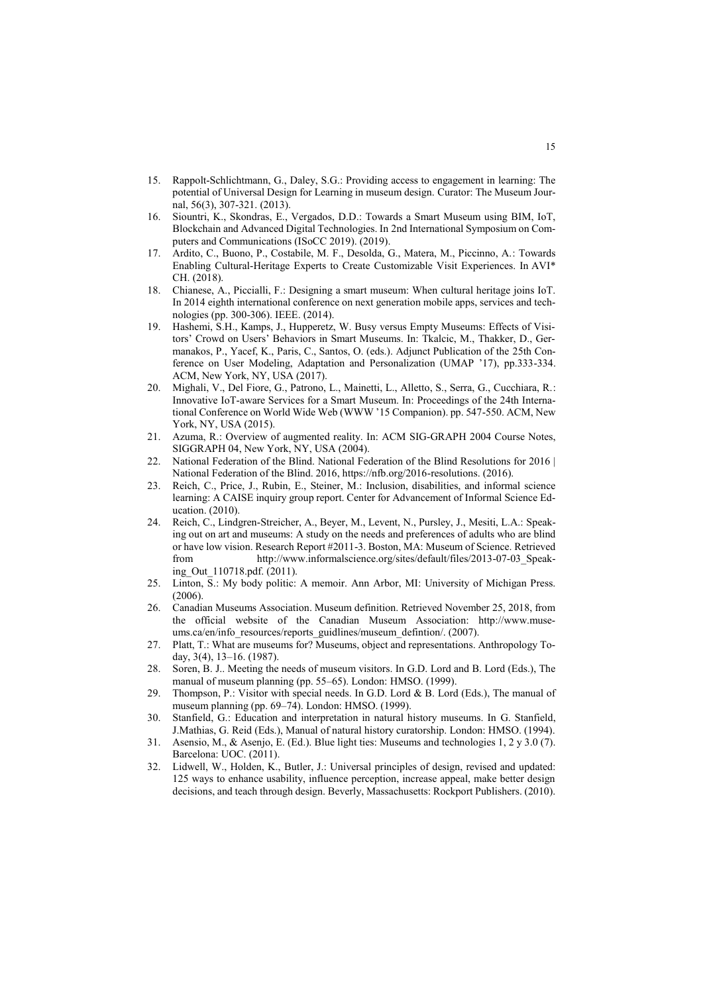- 15. Rappolt‐Schlichtmann, G., Daley, S.G.: Providing access to engagement in learning: The potential of Universal Design for Learning in museum design. Curator: The Museum Journal, 56(3), 307-321. (2013).
- 16. Siountri, K., Skondras, E., Vergados, D.D.: Towards a Smart Museum using ΒΙΜ, IοT, Blockchain and Advanced Digital Technologies. In 2nd International Symposium on Computers and Communications (ISoCC 2019). (2019).
- 17. Ardito, C., Buono, P., Costabile, M. F., Desolda, G., Matera, M., Piccinno, A.: Towards Enabling Cultural-Heritage Experts to Create Customizable Visit Experiences. In AVI\* CH. (2018).
- 18. Chianese, A., Piccialli, F.: Designing a smart museum: When cultural heritage joins IoT. In 2014 eighth international conference on next generation mobile apps, services and technologies (pp. 300-306). IEEE. (2014).
- 19. Hashemi, S.H., Kamps, J., Hupperetz, W. Busy versus Empty Museums: Effects of Visitors' Crowd on Users' Behaviors in Smart Museums. In: Tkalcic, M., Thakker, D., Germanakos, P., Yacef, K., Paris, C., Santos, O. (eds.). Adjunct Publication of the 25th Conference on User Modeling, Adaptation and Personalization (UMAP '17), pp.333-334. ACM, New York, NY, USA (2017).
- 20. Mighali, V., Del Fiore, G., Patrono, L., Mainetti, L., Alletto, S., Serra, G., Cucchiara, R.: Innovative IoT-aware Services for a Smart Museum. In: Proceedings of the 24th International Conference on World Wide Web (WWW '15 Companion). pp. 547-550. ACM, New York, NY, USA (2015).
- 21. Azuma, R.: Overview of augmented reality. In: ACM SIG-GRAPH 2004 Course Notes, SIGGRAPH 04, New York, NY, USA (2004).
- 22. National Federation of the Blind. National Federation of the Blind Resolutions for 2016 | National Federation of the Blind. 2016, https://nfb.org/2016-resolutions. (2016).
- 23. Reich, C., Price, J., Rubin, E., Steiner, M.: Inclusion, disabilities, and informal science learning: A CAISE inquiry group report. Center for Advancement of Informal Science Education. (2010).
- 24. Reich, C., Lindgren-Streicher, A., Beyer, M., Levent, N., Pursley, J., Mesiti, L.A.: Speaking out on art and museums: A study on the needs and preferences of adults who are blind or have low vision. Research Report #2011-3. Boston, MA: Museum of Science. Retrieved from http://www.informalscience.org/sites/default/files/2013-07-03\_Speaking\_Out\_110718.pdf. (2011).
- 25. Linton, S.: My body politic: A memoir. Ann Arbor, MI: University of Michigan Press.  $(2006)$ .
- 26. Canadian Museums Association. Museum definition. Retrieved November 25, 2018, from the official website of the Canadian Museum Association: http://www.museums.ca/en/info\_resources/reports\_guidlines/museum\_defintion/. (2007).
- 27. Platt, T.: What are museums for? Museums, object and representations. Anthropology Today, 3(4), 13–16. (1987).
- 28. Soren, B. J.. Meeting the needs of museum visitors. In G.D. Lord and B. Lord (Eds.), The manual of museum planning (pp. 55–65). London: HMSO. (1999).
- 29. Thompson, P.: Visitor with special needs. In G.D. Lord & B. Lord (Eds.), The manual of museum planning (pp. 69–74). London: HMSO. (1999).
- 30. Stanfield, G.: Education and interpretation in natural history museums. In G. Stanfield, J.Mathias, G. Reid (Eds.), Manual of natural history curatorship. London: HMSO. (1994).
- 31. Asensio, M., & Asenjo, E. (Ed.). Blue light ties: Museums and technologies 1, 2 y 3.0 (7). Barcelona: UOC. (2011).
- 32. Lidwell, W., Holden, K., Butler, J.: Universal principles of design, revised and updated: 125 ways to enhance usability, influence perception, increase appeal, make better design decisions, and teach through design. Beverly, Massachusetts: Rockport Publishers. (2010).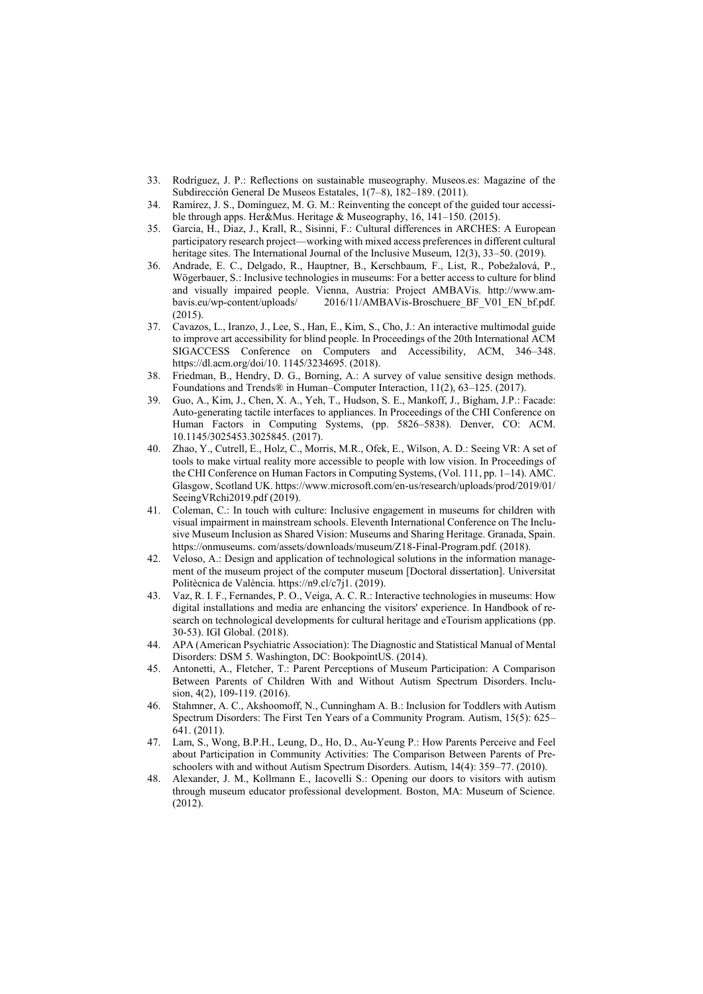- 33. Rodríguez, J. P.: Reflections on sustainable museography. Museos.es: Magazine of the Subdirección General De Museos Estatales, 1(7–8), 182–189. (2011).
- 34. Ramírez, J. S., Domínguez, M. G. M.: Reinventing the concept of the guided tour accessible through apps. Her&Mus. Heritage & Museography, 16, 141–150. (2015).
- 35. Garcia, H., Diaz, J., Krall, R., Sisinni, F.: Cultural differences in ARCHES: A European participatory research project—working with mixed access preferences in different cultural heritage sites. The International Journal of the Inclusive Museum, 12(3), 33–50. (2019).
- 36. Andrade, E. C., Delgado, R., Hauptner, B., Kerschbaum, F., List, R., Pobežalová, P., Wögerbauer, S.: Inclusive technologies in museums: For a better access to culture for blind and visually impaired people. Vienna, Austria: Project AMBAVis. http://www.ambavis.eu/wp-content/uploads/ 2016/11/AMBAVis-Broschuere\_BF\_V01\_EN\_bf.pdf.  $(2015)$ .
- 37. Cavazos, L., Iranzo, J., Lee, S., Han, E., Kim, S., Cho, J.: An interactive multimodal guide to improve art accessibility for blind people. In Proceedings of the 20th International ACM SIGACCESS Conference on Computers and Accessibility, ACM, 346–348. https://dl.acm.org/doi/10. 1145/3234695. (2018).
- 38. Friedman, B., Hendry, D. G., Borning, A.: A survey of value sensitive design methods. Foundations and Trends® in Human–Computer Interaction, 11(2), 63–125. (2017).
- 39. Guo, A., Kim, J., Chen, X. A., Yeh, T., Hudson, S. E., Mankoff, J., Bigham, J.P.: Facade: Auto-generating tactile interfaces to appliances. In Proceedings of the CHI Conference on Human Factors in Computing Systems, (pp. 5826–5838). Denver, CO: ACM. 10.1145/3025453.3025845. (2017).
- 40. Zhao, Y., Cutrell, E., Holz, C., Morris, M.R., Ofek, E., Wilson, A. D.: Seeing VR: A set of tools to make virtual reality more accessible to people with low vision. In Proceedings of the CHI Conference on Human Factors in Computing Systems, (Vol. 111, pp. 1–14). AMC. Glasgow, Scotland UK. https://www.microsoft.com/en-us/research/uploads/prod/2019/01/ SeeingVRchi2019.pdf (2019).
- 41. Coleman, C.: In touch with culture: Inclusive engagement in museums for children with visual impairment in mainstream schools. Eleventh International Conference on The Inclusive Museum Inclusion as Shared Vision: Museums and Sharing Heritage. Granada, Spain. https://onmuseums. com/assets/downloads/museum/Z18-Final-Program.pdf. (2018).
- 42. Veloso, A.: Design and application of technological solutions in the information management of the museum project of the computer museum [Doctoral dissertation]. Universitat Politècnica de València. https://n9.cl/c7j1. (2019).
- 43. Vaz, R. I. F., Fernandes, P. O., Veiga, A. C. R.: Interactive technologies in museums: How digital installations and media are enhancing the visitors' experience. In Handbook of research on technological developments for cultural heritage and eTourism applications (pp. 30-53). IGI Global. (2018).
- 44. APA (American Psychiatric Association): The Diagnostic and Statistical Manual of Mental Disorders: DSM 5. Washington, DC: BookpointUS. (2014).
- 45. Antonetti, A., Fletcher, T.: Parent Perceptions of Museum Participation: A Comparison Between Parents of Children With and Without Autism Spectrum Disorders. Inclusion, 4(2), 109-119. (2016).
- 46. Stahmner, A. C., Akshoomoff, N., Cunningham A. B.: Inclusion for Toddlers with Autism Spectrum Disorders: The First Ten Years of a Community Program. Autism, 15(5): 625– 641. (2011).
- 47. Lam, S., Wong, B.P.H., Leung, D., Ho, D., Au-Yeung P.: How Parents Perceive and Feel about Participation in Community Activities: The Comparison Between Parents of Preschoolers with and without Autism Spectrum Disorders. Autism, 14(4): 359–77. (2010).
- 48. Alexander, J. M., Kollmann E., Iacovelli S.: Opening our doors to visitors with autism through museum educator professional development. Boston, MA: Museum of Science. (2012).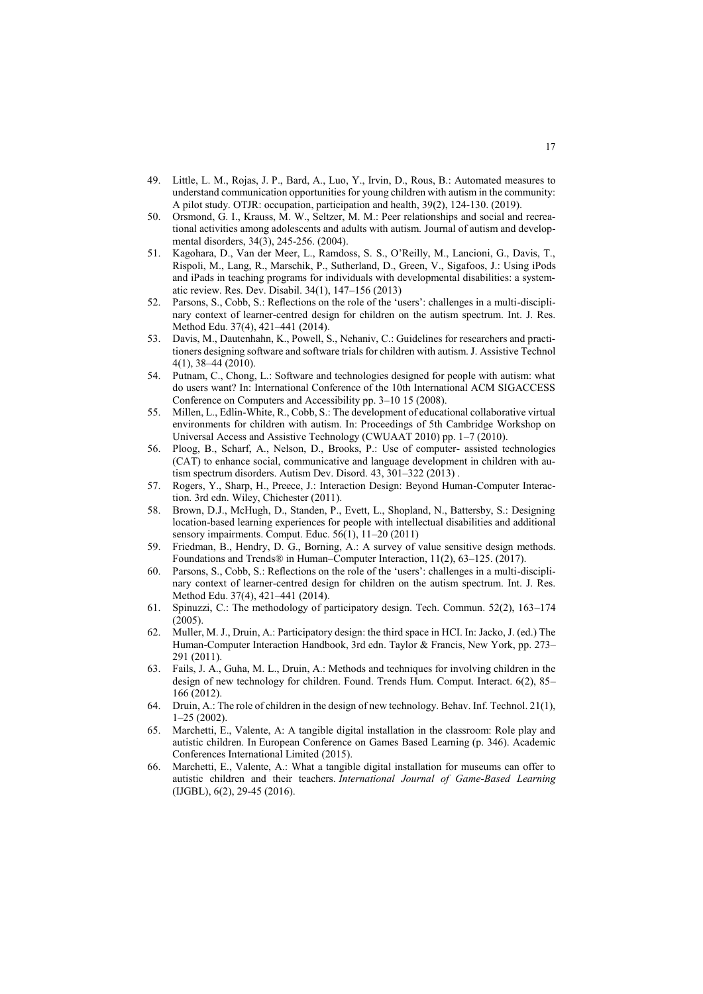- 49. Little, L. M., Rojas, J. P., Bard, A., Luo, Y., Irvin, D., Rous, B.: Automated measures to understand communication opportunities for young children with autism in the community: A pilot study. OTJR: occupation, participation and health, 39(2), 124-130. (2019).
- 50. Orsmond, G. I., Krauss, M. W., Seltzer, M. M.: Peer relationships and social and recreational activities among adolescents and adults with autism. Journal of autism and developmental disorders, 34(3), 245-256. (2004).
- 51. Kagohara, D., Van der Meer, L., Ramdoss, S. S., O'Reilly, M., Lancioni, G., Davis, T., Rispoli, M., Lang, R., Marschik, P., Sutherland, D., Green, V., Sigafoos, J.: Using iPods and iPads in teaching programs for individuals with developmental disabilities: a systematic review. Res. Dev. Disabil. 34(1), 147–156 (2013)
- 52. Parsons, S., Cobb, S.: Reflections on the role of the 'users': challenges in a multi-disciplinary context of learner-centred design for children on the autism spectrum. Int. J. Res. Method Edu. 37(4), 421–441 (2014).
- 53. Davis, M., Dautenhahn, K., Powell, S., Nehaniv, C.: Guidelines for researchers and practitioners designing software and software trials for children with autism. J. Assistive Technol 4(1), 38–44 (2010).
- 54. Putnam, C., Chong, L.: Software and technologies designed for people with autism: what do users want? In: International Conference of the 10th International ACM SIGACCESS Conference on Computers and Accessibility pp. 3–10 15 (2008).
- 55. Millen, L., Edlin-White, R., Cobb, S.: The development of educational collaborative virtual environments for children with autism. In: Proceedings of 5th Cambridge Workshop on Universal Access and Assistive Technology (CWUAAT 2010) pp. 1–7 (2010).
- 56. Ploog, B., Scharf, A., Nelson, D., Brooks, P.: Use of computer- assisted technologies (CAT) to enhance social, communicative and language development in children with autism spectrum disorders. Autism Dev. Disord. 43, 301–322 (2013) .
- 57. Rogers, Y., Sharp, H., Preece, J.: Interaction Design: Beyond Human-Computer Interaction. 3rd edn. Wiley, Chichester (2011).
- 58. Brown, D.J., McHugh, D., Standen, P., Evett, L., Shopland, N., Battersby, S.: Designing location-based learning experiences for people with intellectual disabilities and additional sensory impairments. Comput. Educ. 56(1), 11–20 (2011)
- 59. Friedman, B., Hendry, D. G., Borning, A.: A survey of value sensitive design methods. Foundations and Trends® in Human–Computer Interaction, 11(2), 63–125. (2017).
- 60. Parsons, S., Cobb, S.: Reflections on the role of the 'users': challenges in a multi-disciplinary context of learner-centred design for children on the autism spectrum. Int. J. Res. Method Edu. 37(4), 421–441 (2014).
- 61. Spinuzzi, C.: The methodology of participatory design. Tech. Commun. 52(2), 163–174 (2005).
- 62. Muller, M. J., Druin, A.: Participatory design: the third space in HCI. In: Jacko, J. (ed.) The Human-Computer Interaction Handbook, 3rd edn. Taylor & Francis, New York, pp. 273– 291 (2011).
- 63. Fails, J. A., Guha, M. L., Druin, A.: Methods and techniques for involving children in the design of new technology for children. Found. Trends Hum. Comput. Interact. 6(2), 85– 166 (2012).
- 64. Druin, A.: The role of children in the design of new technology. Behav. Inf. Technol. 21(1), 1–25 (2002).
- 65. Marchetti, E., Valente, A: A tangible digital installation in the classroom: Role play and autistic children. In European Conference on Games Based Learning (p. 346). Academic Conferences International Limited (2015).
- 66. Marchetti, E., Valente, A.: What a tangible digital installation for museums can offer to autistic children and their teachers. *International Journal of Game-Based Learning* (IJGBL), 6(2), 29-45 (2016).